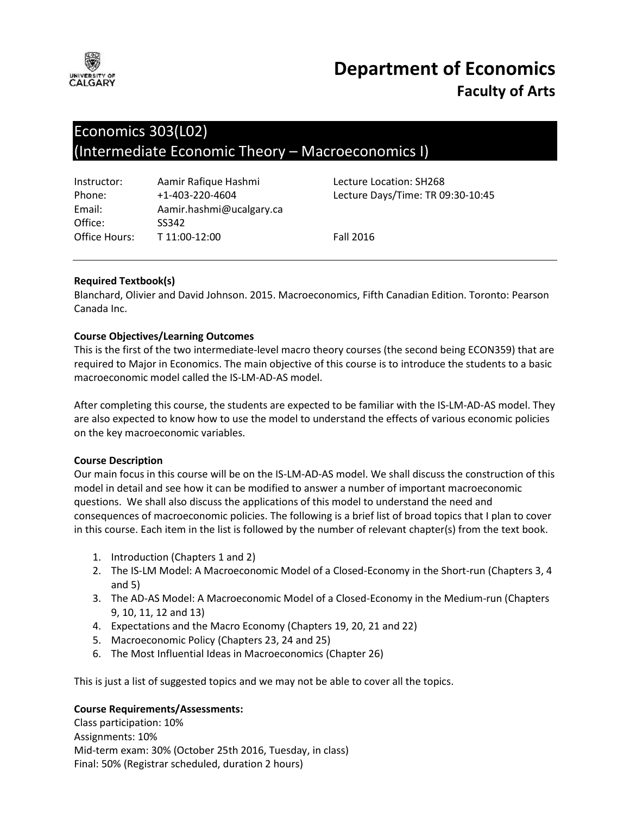

# **Department of Economics Faculty of Arts**

## Economics 303(L02) (Intermediate Economic Theory – Macroeconomics I)

| Instructor:   | Aamir Rafique Hashmi     |
|---------------|--------------------------|
| Phone:        | $+1 - 403 - 220 - 4604$  |
| Email:        | Aamir.hashmi@ucalgary.ca |
| Office:       | SS342                    |
| Office Hours: | T 11:00-12:00            |

Lecture Location: SH268 Lecture Days/Time: TR 09:30-10:45

**Fall 2016** 

#### **Required Textbook(s)**

Blanchard, Olivier and David Johnson. 2015. Macroeconomics, Fifth Canadian Edition. Toronto: Pearson Canada Inc.

#### **Course Objectives/Learning Outcomes**

This is the first of the two intermediate-level macro theory courses (the second being ECON359) that are required to Major in Economics. The main objective of this course is to introduce the students to a basic macroeconomic model called the IS-LM-AD-AS model.

After completing this course, the students are expected to be familiar with the IS-LM-AD-AS model. They are also expected to know how to use the model to understand the effects of various economic policies on the key macroeconomic variables.

#### **Course Description**

Our main focus in this course will be on the IS-LM-AD-AS model. We shall discuss the construction of this model in detail and see how it can be modified to answer a number of important macroeconomic questions. We shall also discuss the applications of this model to understand the need and consequences of macroeconomic policies. The following is a brief list of broad topics that I plan to cover in this course. Each item in the list is followed by the number of relevant chapter(s) from the text book.

- 1. Introduction (Chapters 1 and 2)
- 2. The IS-LM Model: A Macroeconomic Model of a Closed-Economy in the Short-run (Chapters 3, 4 and 5)
- 3. The AD-AS Model: A Macroeconomic Model of a Closed-Economy in the Medium-run (Chapters 9, 10, 11, 12 and 13)
- 4. Expectations and the Macro Economy (Chapters 19, 20, 21 and 22)
- 5. Macroeconomic Policy (Chapters 23, 24 and 25)
- 6. The Most Influential Ideas in Macroeconomics (Chapter 26)

This is just a list of suggested topics and we may not be able to cover all the topics.

#### **Course Requirements/Assessments:**

Class participation: 10% Assignments: 10% Mid-term exam: 30% (October 25th 2016, Tuesday, in class) Final: 50% (Registrar scheduled, duration 2 hours)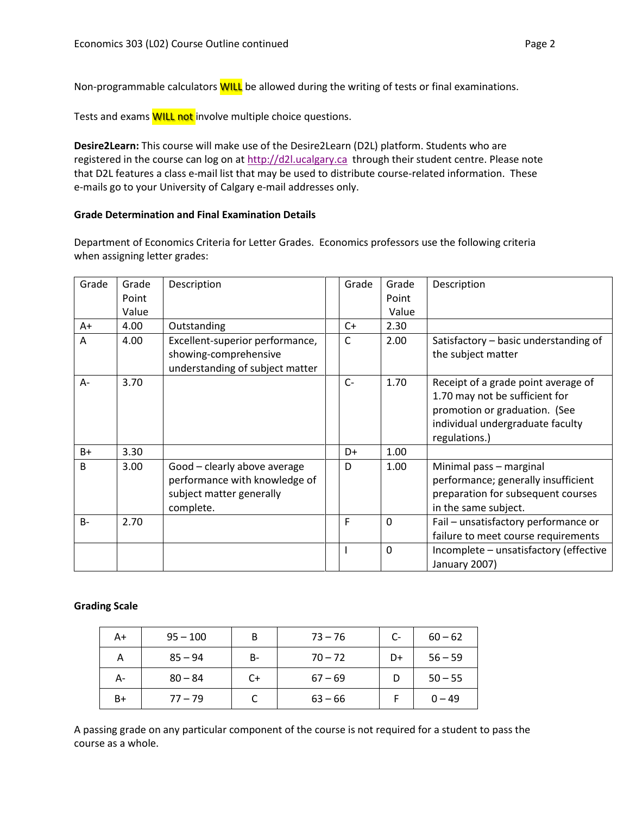Non-programmable calculators **WILL** be allowed during the writing of tests or final examinations.

Tests and exams **WILL not** involve multiple choice questions.

**Desire2Learn:** This course will make use of the Desire2Learn (D2L) platform. Students who are registered in the course can log on at [http://d2l.ucalgary.ca](http://d2l.ucalgary.ca/) through their student centre. Please note that D2L features a class e-mail list that may be used to distribute course-related information. These e-mails go to your University of Calgary e-mail addresses only.

#### **Grade Determination and Final Examination Details**

Department of Economics Criteria for Letter Grades. Economics professors use the following criteria when assigning letter grades:

| Grade        | Grade | Description                     | Grade | Grade       | Description                            |
|--------------|-------|---------------------------------|-------|-------------|----------------------------------------|
|              | Point |                                 |       | Point       |                                        |
|              |       |                                 |       |             |                                        |
|              | Value |                                 |       | Value       |                                        |
| A+           | 4.00  | Outstanding                     | $C+$  | 2.30        |                                        |
| A            | 4.00  | Excellent-superior performance, | C     | 2.00        | Satisfactory - basic understanding of  |
|              |       | showing-comprehensive           |       |             | the subject matter                     |
|              |       | understanding of subject matter |       |             |                                        |
| A-           | 3.70  |                                 | $C-$  | 1.70        | Receipt of a grade point average of    |
|              |       |                                 |       |             | 1.70 may not be sufficient for         |
|              |       |                                 |       |             | promotion or graduation. (See          |
|              |       |                                 |       |             | individual undergraduate faculty       |
|              |       |                                 |       |             | regulations.)                          |
|              |       |                                 |       |             |                                        |
| $B+$         | 3.30  |                                 | D+    | 1.00        |                                        |
| <sub>B</sub> | 3.00  | Good - clearly above average    | D     | 1.00        | Minimal pass - marginal                |
|              |       | performance with knowledge of   |       |             | performance; generally insufficient    |
|              |       | subject matter generally        |       |             | preparation for subsequent courses     |
|              |       | complete.                       |       |             | in the same subject.                   |
| $B -$        | 2.70  |                                 | F     | $\mathbf 0$ | Fail - unsatisfactory performance or   |
|              |       |                                 |       |             |                                        |
|              |       |                                 |       |             | failure to meet course requirements    |
|              |       |                                 |       | $\Omega$    | Incomplete - unsatisfactory (effective |
|              |       |                                 |       |             | January 2007)                          |

#### **Grading Scale**

| A+   | $95 - 100$ | В  | $73 - 76$ | C- | $60 - 62$ |
|------|------------|----|-----------|----|-----------|
| А    | $85 - 94$  | B- | $70 - 72$ | D+ | $56 - 59$ |
| А-   | $80 - 84$  | C+ | $67 - 69$ | D  | $50 - 55$ |
| $B+$ | $77 - 79$  |    | $63 - 66$ |    | $0 - 49$  |

A passing grade on any particular component of the course is not required for a student to pass the course as a whole.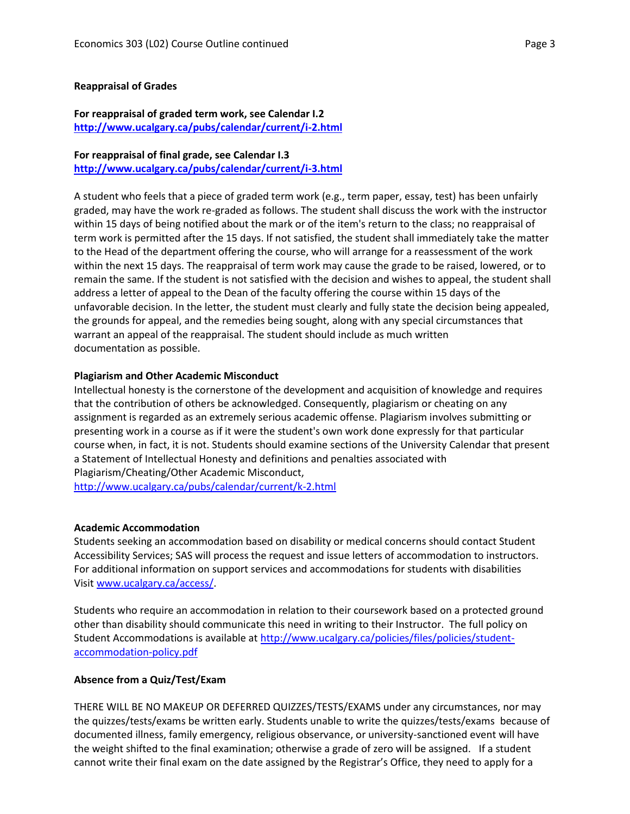#### **Reappraisal of Grades**

#### **For reappraisal of graded term work, see Calendar I.2 <http://www.ucalgary.ca/pubs/calendar/current/i-2.html>**

### **For reappraisal of final grade, see Calendar I.3**

**<http://www.ucalgary.ca/pubs/calendar/current/i-3.html>**

A student who feels that a piece of graded term work (e.g., term paper, essay, test) has been unfairly graded, may have the work re-graded as follows. The student shall discuss the work with the instructor within 15 days of being notified about the mark or of the item's return to the class; no reappraisal of term work is permitted after the 15 days. If not satisfied, the student shall immediately take the matter to the Head of the department offering the course, who will arrange for a reassessment of the work within the next 15 days. The reappraisal of term work may cause the grade to be raised, lowered, or to remain the same. If the student is not satisfied with the decision and wishes to appeal, the student shall address a letter of appeal to the Dean of the faculty offering the course within 15 days of the unfavorable decision. In the letter, the student must clearly and fully state the decision being appealed, the grounds for appeal, and the remedies being sought, along with any special circumstances that warrant an appeal of the reappraisal. The student should include as much written documentation as possible.

#### **Plagiarism and Other Academic Misconduct**

Intellectual honesty is the cornerstone of the development and acquisition of knowledge and requires that the contribution of others be acknowledged. Consequently, plagiarism or cheating on any assignment is regarded as an extremely serious academic offense. Plagiarism involves submitting or presenting work in a course as if it were the student's own work done expressly for that particular course when, in fact, it is not. Students should examine sections of the University Calendar that present a Statement of Intellectual Honesty and definitions and penalties associated with Plagiarism/Cheating/Other Academic Misconduct,

<http://www.ucalgary.ca/pubs/calendar/current/k-2.html>

#### **Academic Accommodation**

Students seeking an accommodation based on disability or medical concerns should contact Student Accessibility Services; SAS will process the request and issue letters of accommodation to instructors. For additional information on support services and accommodations for students with disabilities Visit [www.ucalgary.ca/access/.](http://www.ucalgary.ca/access/)

Students who require an accommodation in relation to their coursework based on a protected ground other than disability should communicate this need in writing to their Instructor. The full policy on Student Accommodations is available at [http://www.ucalgary.ca/policies/files/policies/student](http://www.ucalgary.ca/policies/files/policies/student-accommodation-policy.pdf)[accommodation-policy.pdf](http://www.ucalgary.ca/policies/files/policies/student-accommodation-policy.pdf)

#### **Absence from a Quiz/Test/Exam**

THERE WILL BE NO MAKEUP OR DEFERRED QUIZZES/TESTS/EXAMS under any circumstances, nor may the quizzes/tests/exams be written early. Students unable to write the quizzes/tests/exams because of documented illness, family emergency, religious observance, or university-sanctioned event will have the weight shifted to the final examination; otherwise a grade of zero will be assigned. If a student cannot write their final exam on the date assigned by the Registrar's Office, they need to apply for a